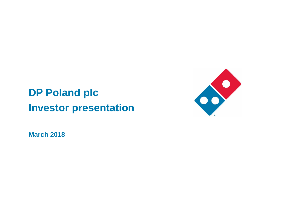# **DP Poland plc Investor presentation**



**March 2018**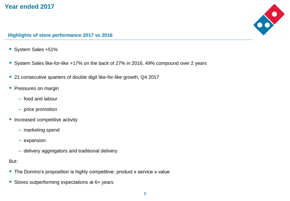



#### **Highlights of store performance 2017 vs 2016**

- System Sales +51%
- les<br>. **Bidge 1** System Sales like-for-like +17% on the back of 27% in 2016, 49% compound over 2 years
- 21 consecutive quarters of double digit like-for-like growth, Q4 2017
- **Pressures on margin** 
	- food and labour
	- price promotion
- **· Increased competitive activity** 
	- marketing spend
	- expansion
	- delivery aggregators and traditional delivery

But:

- The Domino's proposition is highly competitive: product x service x value
- Stores outperforming expectations at 6+ years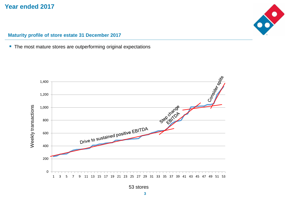

#### **Maturity profile of store estate 31 December 2017**

■ The most mature stores are outperforming original expectations



53 stores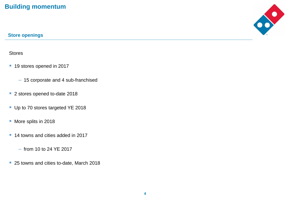## **Building momentum**



### **Store openings**

#### Stores

- pe<br>. ■ 19 stores opened in 2017
	- 15 corporate and 4 sub-franchised
- Actual ■ 2 stores opened to-date 2018
- Up to 70 stores targeted YE 2018
- More splits in 2018
- 14 towns and cities added in 2017
	- from 10 to 24 YE 2017
- 25 towns and cities to-date, March 2018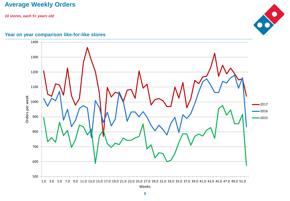## **Average Weekly Orders**

*10 stores, each 5+ years old*



### **Year on year comparison like-for-like stores**

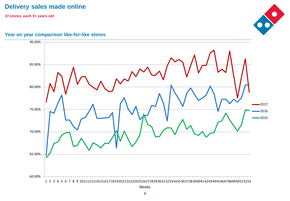## **Delivery sales made online**

*10 stores, each 5+ years old*



#### **Year on year comparison like-for-like stores**

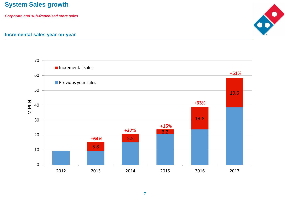## **System Sales growth**

*Corporate and sub-franchised store sales*



#### **Incremental sales year-on-year**

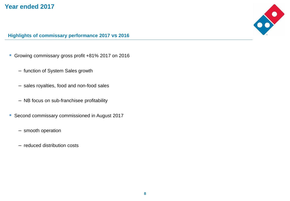

#### **Highlights of commissary performance 2017 vs 2016**

- Growing commissary gross profit +81% 2017 on 2016
	- rowing commissary gross pront <del>+</del>o<br>— function of System Sales growth
	- $-$  sales royalties, food and non-food sales
	- NB focus on sub-franchisee profitability
- Second commissary commissioned in August 2017
	- smooth operation
	- reduced distribution costs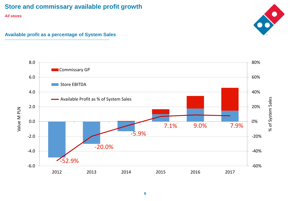## **Store and commissary available profit growth**

*All stores*

#### **Available profit as a percentage of System Sales**





**9**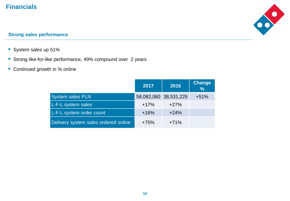## **Financials**



#### **Strong sales performance**

- System sales up 51%
- **E** Strong like-for-like performance, 49% compound over 2 years
- Continued growth in % online

|                                      | 2017   | 2016                  | <b>Change</b><br>$\frac{9}{6}$ |
|--------------------------------------|--------|-----------------------|--------------------------------|
| <b>System sales PLN</b>              |        | 58,082,060 38,531,225 | $+51%$                         |
| L-F-L system sales                   | $+17%$ | $+27%$                |                                |
| L-F-L system order count             | $+16%$ | $+24%$                |                                |
| Delivery system sales ordered online | $+75%$ | $+71%$                |                                |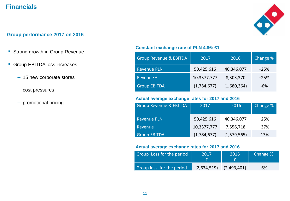## **Financials**



#### **Group performance 2017 on 2016**

- Strong growth in Group Revenue
- Group EBITDA loss increases
	- 15 new corporate stores
	- cost pressures
	- promotional pricing

#### **Constant exchange rate of PLN 4.86: £1**

| <b>Group Revenue &amp; EBITDA</b> | 2017        | 2016        | Change % |
|-----------------------------------|-------------|-------------|----------|
| <b>Revenue PLN</b>                | 50,425,616  | 40,346,077  | $+25%$   |
| Revenue £                         | 10,3377,777 | 8,303,370   | $+25%$   |
| <b>Group EBITDA</b>               | (1,784,677) | (1,680,364) | -6%      |

#### **Actual average exchange rates for 2017 and 2016**

| <b>Group Revenue &amp; EBITDA</b> | 2017        | 2016        | Change % |
|-----------------------------------|-------------|-------------|----------|
| <b>Revenue PLN</b>                | 50,425,616  | 40,346,077  | $+25%$   |
| Revenue                           | 10,3377,777 | 7,556,718   | $+37%$   |
| <b>Group EBITDA</b>               | (1,784,677) | (1,579,565) | $-13%$   |

#### **Actual average exchange rates for 2017 and 2016**

| Group Loss for the period | 2017        | 2016        | Change % |
|---------------------------|-------------|-------------|----------|
| Group loss for the period | (2,634,519) | (2,493,401) | -6%      |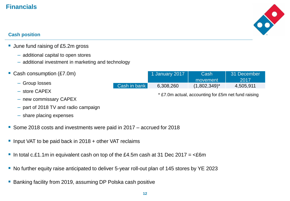## **Financials**



31 December 2017

#### **Cash position**

- June fund raising of £5.2m gross
	- additional capital to open stores
	- additional investment in marketing and technology
- Cash consumption (£7.0m)
	- Group losses
	- store CAPEX
	- new commissary CAPEX
	- part of 2018 TV and radio campaign
	- share placing expenses
- Some 2018 costs and investments were paid in 2017 accrued for 2018
- Input VAT to be paid back in 2018 + other VAT reclaims
- **I** In total c.£1.1m in equivalent cash on top of the £4.5m cash at 31 Dec 2017 =  $\leq$ £6m
- No further equity raise anticipated to deliver 5-year roll-out plan of 145 stores by YE 2023
- Banking facility from 2019, assuming DP Polska cash positive

1 January 2017 | Cash

Cash in bank 6,308,260 (1,802,349)\* 4,505,911

movement

\* £7.0m actual, accounting for £5m net fund raising

**12**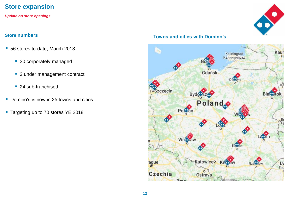

*Update on store openings*

- 56 stores to-date, March 2018
	- 30 corporately managed
	- 2 under management contract
	- 24 sub-franchised
- Domino's is now in 25 towns and cities
- Targeting up to 70 stores YE 2018

## **Store numbers Towns and cities with Domino's**





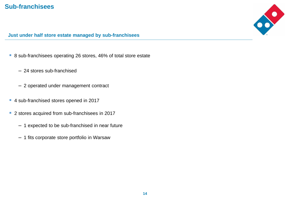## **Sub-franchisees**



### **Just under half store estate managed by sub-franchisees**

- 8 sub-franchisees operating 26 stores, 46% of total store estate
	- sub-iranchisees operating z<br>— 24 stores sub-franchised
	- 2 operated under management contract
- 4 sub-franchised stores opened in 2017
- 2 stores acquired from sub-franchisees in 2017
	- 1 expected to be sub-franchised in near future
	- 1 fits corporate store portfolio in Warsaw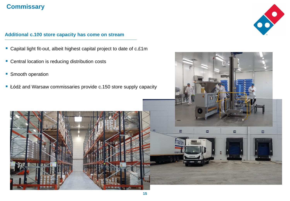## **Commissary**

- **Additional c.100 store capacity has come on stream**<br> **Example:** Capital light fit-out, albeit highest capital project to date of c.£1m
- Actual ■ Central location is reducing distribution costs
- Smooth operation
- Łódź and Warsaw commissaries provide c.150 store supply capacity





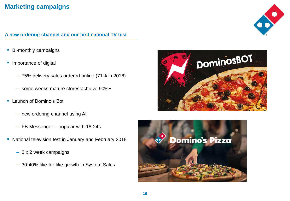## **Marketing campaigns**

### A new ordering channel and our first national TV test

- Bi-monthly campaigns
- וر<br>ً **· Importance of digital** 
	- 75% delivery sales ordered online (71% in 2016)
	- some weeks mature stores achieve 90%+
- Launch of Domino's Bot
	- new ordering channel using AI
	- FB Messenger popular with 18-24s
- National television test in January and February 2018
	- 2 x 2 week campaigns
	- 30-40% like-for-like growth in System Sales